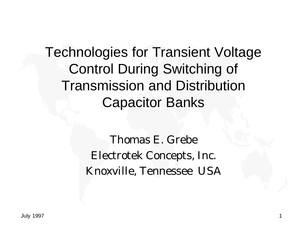Technologies for Transient Voltage Control During Switching of Transmission and Distribution Capacitor Banks

> Thomas E. Grebe Electrotek Concepts, Inc. Knoxville, Tennessee USA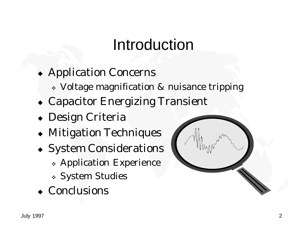## Introduction

- Application Concerns
	- <sup>v</sup> Voltage magnification & nuisance tripping
- Capacitor Energizing Transient
- $\bullet$  Design Criteria
- $\triangleleft$  Mitigation Techniques
- System Considerations
	- \* Application Experience
	- <sup>v</sup> System Studies
- Conclusions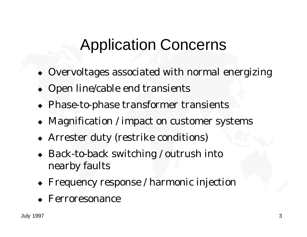# Application Concerns

- $\bullet$  Overvoltages associated with normal energizing
- Open line/cable end transients
- $\triangle$  Phase-to-phase transformer transients
- Magnification / impact on customer systems
- Arrester duty (restrike conditions)
- $\bullet$  Back-to-back switching / outrush into nearby faults
- Frequency response / harmonic injection
- $\leftarrow$  Ferroresonance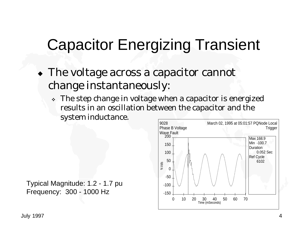## Capacitor Energizing Transient

- $\bullet$  The voltage across a capacitor cannot change instantaneously:
	- \* The step change in voltage when a capacitor is energized results in an oscillation between the capacitor and the system inductance.

Typical Magnitude: 1.2 - 1.7 pu Frequency: 300 - 1000 Hz

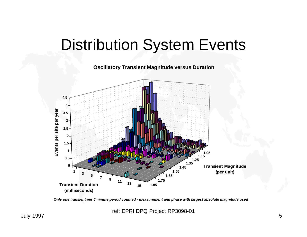## Distribution System Events

**Oscillatory Transient Magnitude versus Duration**



*Only one transient per 5 minute period counted - measurement and phase with largest absolute magnitude used*

ref: EPRI DPQ Project RP3098-01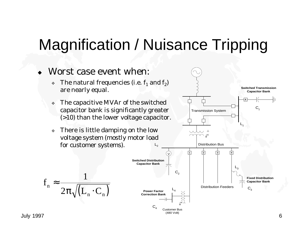## Magnification / Nuisance Tripping



July 1997 6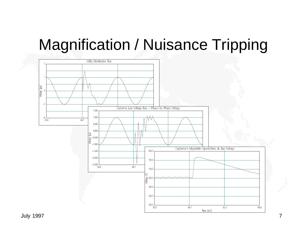#### Magnification / Nuisance Tripping

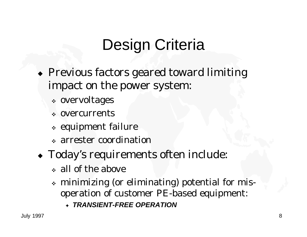# Design Criteria

- $\triangle$  Previous factors geared toward limiting impact on the power system:
	- <sup>v</sup> overvoltages
	- <sup>v</sup> overcurrents
	- <sup>v</sup> equipment failure
	- <sup>v</sup> arrester coordination
- $\bullet$  Today's requirements often include:
	- <sup>v</sup> all of the above
	- <sup>v</sup> minimizing (or eliminating) potential for misoperation of customer PE-based equipment:
		- <sup>F</sup> *TRANSIENT-FREE OPERATION*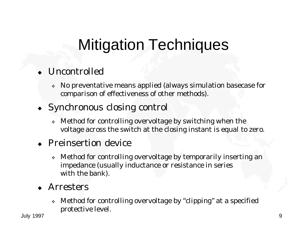# Mitigation Techniques

#### $\bullet$  Uncontrolled

- <sup>v</sup> No preventative means applied (always simulation basecase for comparison of effectiveness of other methods).
- $\bullet$  Synchronous closing control
	- \* Method for controlling overvoltage by switching when the voltage across the switch at the closing instant is equal to zero.

#### $\leftarrow$  Preinsertion device

\* Method for controlling overvoltage by temporarily inserting an impedance (usually inductance or resistance in series with the bank).

#### **Arresters**

<sup>v</sup> Method for controlling overvoltage by "clipping" at a specified protective level.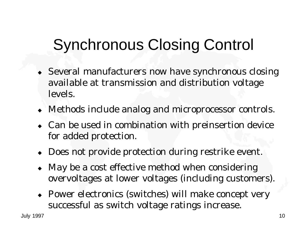# Synchronous Closing Control

- $\bullet$  Several manufacturers now have synchronous closing available at transmission and distribution voltage levels.
- Methods include analog and microprocessor controls.
- $\bullet$  Can be used in combination with preinsertion device for added protection.
- Does not provide protection during restrike event.
- May be a cost effective method when considering overvoltages at lower voltages (including customers).
- $\rightarrow$  Power electronics (switches) will make concept very successful as switch voltage ratings increase.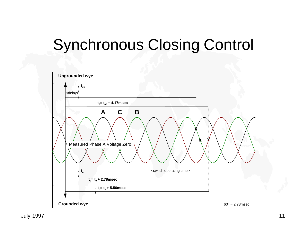## Synchronous Closing Control

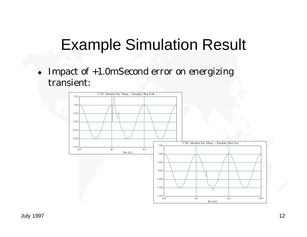#### Example Simulation Result

 $\bullet$  Impact of +1.0mSecond error on energizing transient:

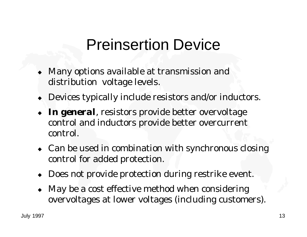#### Preinsertion Device

- Many options available at transmission and distribution voltage levels.
- Devices typically include resistors and/or inductors.
- In general, resistors provide better overvoltage control and inductors provide better overcurrent control.
- $\bullet$  Can be used in combination with synchronous closing control for added protection.
- Does not provide protection during restrike event.
- May be a cost effective method when considering overvoltages at lower voltages (including customers).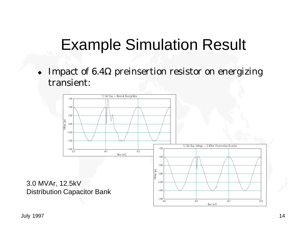#### Example Simulation Result

Impact of  $6.4\Omega$  preinsertion resistor on energizing transient:

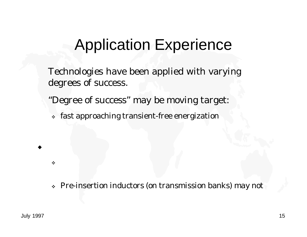#### Application Experience

Technologies have been applied with varying degrees of success.

"Degree of success" may be moving target:

<sup>v</sup> fast approaching transient-free energization

<sup>v</sup> Pre-insertion inductors (on transmission banks) may not

 $\blacklozenge$ 

 $\frac{1}{2}$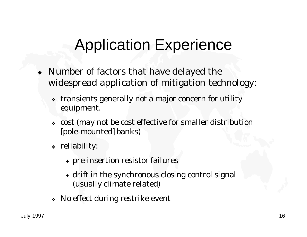## Application Experience

- $\bullet$  Number of factors that have delayed the widespread application of mitigation technology:
	- <sup>v</sup> transients generally not a major concern for utility equipment.
	- <sup>v</sup> cost (may not be cost effective for smaller distribution [pole-mounted] banks)
	- <sup>v</sup> reliability:
		- + pre-insertion resistor failures
		- $\triangle$  drift in the synchronous closing control signal (usually climate related)
	- <sup>v</sup> No effect during restrike event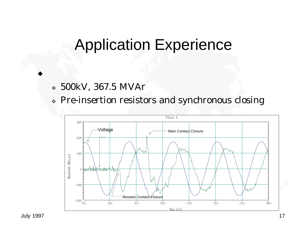#### Application Experience

- <sup>v</sup> 500kV, 367.5 MVAr
- \* Pre-insertion resistors and synchronous closing



 $\blacklozenge$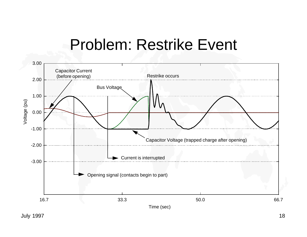#### Problem: Restrike Event



July 1997 18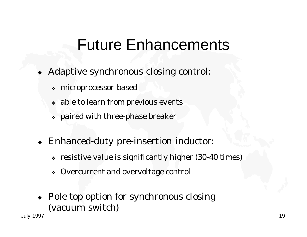#### Future Enhancements

- Adaptive synchronous closing control:
	- <sup>v</sup> microprocessor-based
	- <sup>v</sup> able to learn from previous events
	- <sup>v</sup> paired with three-phase breaker
- Enhanced-duty pre-insertion inductor:
	- <sup>v</sup> resistive value is significantly higher (30-40 times)
	- \* Overcurrent and overvoltage control
- $\rightarrow$  Pole top option for synchronous closing (vacuum switch)

July 1997 19